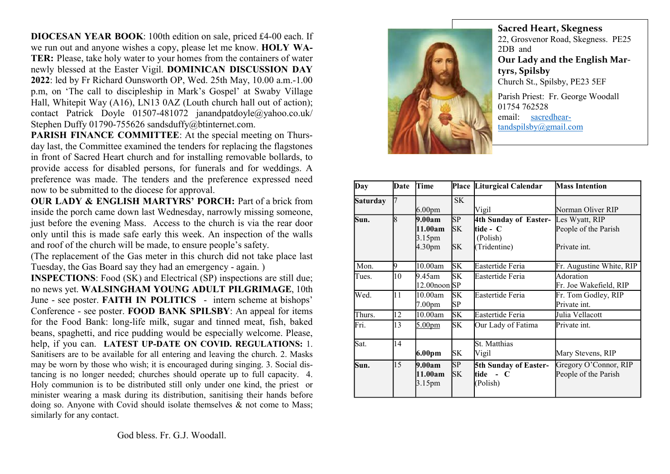DIOCESAN YEAR BOOK: 100th edition on sale, priced £4-00 each. If we run out and anyone wishes a copy, please let me know. HOLY WA-TER: Please, take holy water to your homes from the containers of water newly blessed at the Easter Vigil. DOMINICAN DISCUSSION DAY 2022: led by Fr Richard Ounsworth OP, Wed. 25th May, 10.00 a.m.-1.00 p.m, on 'The call to discipleship in Mark's Gospel' at Swaby Village Hall, Whitepit Way (A16), LN13 0AZ (Louth church hall out of action); contact Patrick Doyle 01507-481072 janandpatdoyle@yahoo.co.uk/ Stephen Duffy 01790-755626 sandsduffy@btinternet.com.

PARISH FINANCE COMMITTEE: At the special meeting on Thursday last, the Committee examined the tenders for replacing the flagstones in front of Sacred Heart church and for installing removable bollards, to provide access for disabled persons, for funerals and for weddings. A preference was made. The tenders and the preference expressed need now to be submitted to the diocese for approval.

OUR LADY & ENGLISH MARTYRS' PORCH: Part of a brick from inside the porch came down last Wednesday, narrowly missing someone, just before the evening Mass. Access to the church is via the rear door only until this is made safe early this week. An inspection of the walls and roof of the church will be made, to ensure people's safety.

(The replacement of the Gas meter in this church did not take place last Tuesday, the Gas Board say they had an emergency - again. )

INSPECTIONS: Food (SK) and Electrical (SP) inspections are still due; no news yet. WALSINGHAM YOUNG ADULT PILGRIMAGE, 10th June - see poster. FAITH IN POLITICS - intern scheme at bishops' Conference - see poster. FOOD BANK SPILSBY: An appeal for items for the Food Bank: long-life milk, sugar and tinned meat, fish, baked beans, spaghetti, and rice pudding would be especially welcome. Please, help, if you can. LATEST UP-DATE ON COVID. REGULATIONS: 1. Sanitisers are to be available for all entering and leaving the church. 2. Masks may be worn by those who wish; it is encouraged during singing. 3. Social distancing is no longer needed; churches should operate up to full capacity. 4. Holy communion is to be distributed still only under one kind, the priest or minister wearing a mask during its distribution, sanitising their hands before doing so. Anyone with Covid should isolate themselves  $\&$  not come to Mass; similarly for any contact.



Sacred Heart, Skegness 22, Grosvenor Road, Skegness. PE25 2DB and Our Lady and the English Martyrs, Spilsby Church St., Spilsby, PE23 5EF Parish Priest: Fr. George Woodall 01754 762528 email: sacredhear-

| Day             | Date | Time               |           | Place Liturgical Calendar      | <b>Mass Intention</b>    |
|-----------------|------|--------------------|-----------|--------------------------------|--------------------------|
| <b>Saturday</b> | 7    |                    | SK        |                                |                          |
|                 |      | 6.00 <sub>pm</sub> |           | Vigil                          | Norman Oliver RIP        |
| Sun.            | 18   | 9.00am             | <b>SP</b> | 4th Sunday of Easter-          | Les Wyatt, RIP           |
|                 |      | 11.00am            | SK        | ltide - C                      | People of the Parish     |
|                 |      | 3.15pm             |           | (Polish)                       |                          |
|                 |      | 4.30 <sub>pm</sub> | <b>SK</b> | (Tridentine)                   | Private int.             |
| Mon.            | 9    | 10.00am            | SK        | Eastertide Feria               | Fr. Augustine White, RIP |
| Tues.           | 10   | 9.45am             | <b>SK</b> | Eastertide Feria               | Adoration                |
|                 |      | 12.00noon SP       |           |                                | Fr. Joe Wakefield, RIP   |
| Wed.            | 11   | 10.00am            | SК        | Eastertide Feria               | Fr. Tom Godley, RIP      |
|                 |      | 7.00 <sub>pm</sub> | <b>SP</b> |                                | Private int.             |
| Thurs.          | 12   | 10.00am            | <b>SK</b> | Eastertide Feria               | Julia Vellacott          |
| Fri.            | 13   | 5.00 <sub>pm</sub> | <b>SK</b> | Our Lady of Fatima             | Private int.             |
| Sat.            | 14   |                    |           | St. Matthias                   |                          |
|                 |      | 6.00pm             | SK        | Vigil                          | Mary Stevens, RIP        |
| Sun.            | 15   | 9.00am             | <b>SP</b> | 5th Sunday of Easter-          | Gregory O'Connor, RIP    |
|                 |      | 11.00am            | SК        | ltide<br>- C<br>$\overline{a}$ | People of the Parish     |
|                 |      | 3.15pm             |           | (Polish)                       |                          |